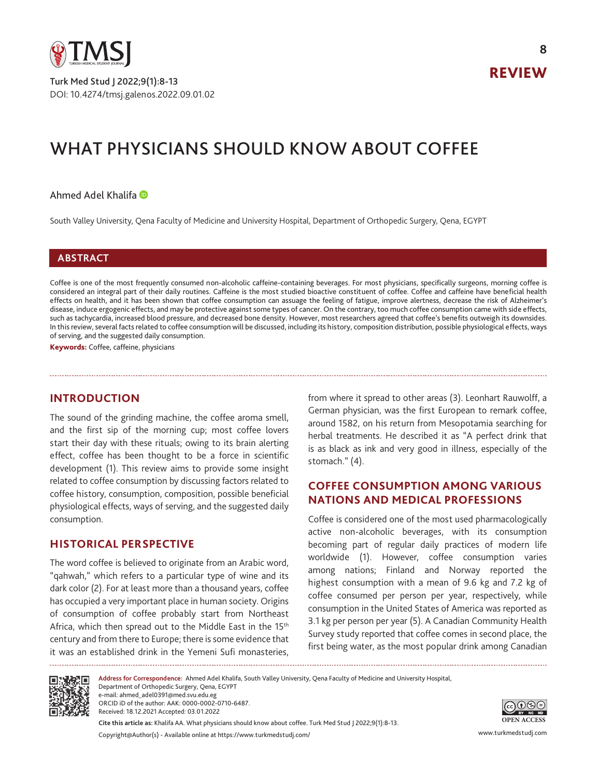

DOI: 10.4274/tmsj.galenos.2022.09.01.02 Turk Med Stud J 2022;9(1):8-13

**8**

# WHAT PHYSICIANS SHOULD KNOW ABOUT COFFEE

## Ahmed Adel Khalifa

South Valley University, Qena Faculty of Medicine and University Hospital, Department of Orthopedic Surgery, Qena, EGYPT

## **ABSTRACT**

Coffee is one of the most frequently consumed non-alcoholic caffeine-containing beverages. For most physicians, specifically surgeons, morning coffee is considered an integral part of their daily routines. Caffeine is the most studied bioactive constituent of coffee. Coffee and caffeine have beneficial health effects on health, and it has been shown that coffee consumption can assuage the feeling of fatigue, improve alertness, decrease the risk of Alzheimer's disease, induce ergogenic effects, and may be protective against some types of cancer. On the contrary, too much coffee consumption came with side effects, such as tachycardia, increased blood pressure, and decreased bone density. However, most researchers agreed that coffee's benefits outweigh its downsides. In this review, several facts related to coffee consumption will be discussed, including its history, composition distribution, possible physiological effects, ways of serving, and the suggested daily consumption.

Keywords: Coffee, caffeine, physicians

# **INTRODUCTION**

The sound of the grinding machine, the coffee aroma smell, and the first sip of the morning cup; most coffee lovers start their day with these rituals; owing to its brain alerting effect, coffee has been thought to be a force in scientific development (1). This review aims to provide some insight related to coffee consumption by discussing factors related to coffee history, consumption, composition, possible beneficial physiological effects, ways of serving, and the suggested daily consumption.

## **HISTORICAL PERSPECTIVE**

The word coffee is believed to originate from an Arabic word, "qahwah," which refers to a particular type of wine and its dark color (2). For at least more than a thousand years, coffee has occupied a very important place in human society. Origins of consumption of coffee probably start from Northeast Africa, which then spread out to the Middle East in the 15<sup>th</sup> century and from there to Europe; there is some evidence that it was an established drink in the Yemeni Sufi monasteries,

from where it spread to other areas (3). Leonhart Rauwolff, a German physician, was the first European to remark coffee, around 1582, on his return from Mesopotamia searching for herbal treatments. He described it as "A perfect drink that is as black as ink and very good in illness, especially of the stomach." (4).

# **COFFEE CONSUMPTION AMONG VARIOUS NATIONS AND MEDICAL PROFESSIONS**

Coffee is considered one of the most used pharmacologically active non-alcoholic beverages, with its consumption becoming part of regular daily practices of modern life worldwide (1). However, coffee consumption varies among nations; Finland and Norway reported the highest consumption with a mean of 9.6 kg and 7.2 kg of coffee consumed per person per year, respectively, while consumption in the United States of America was reported as 3.1 kg per person per year (5). A Canadian Community Health Survey study reported that coffee comes in second place, the first being water, as the most popular drink among Canadian



**Cite this article as:** Khalifa AA. What physicians should know about coffee. Turk Med Stud J 2022;9(1):8-13. **Address for Correspondence:** Ahmed Adel Khalifa, South Valley University, Qena Faculty of Medicine and University Hospital, Department of Orthopedic Surgery, Qena, EGYPT e-mail: ahmed\_adel0391@med.svu.edu.eg ORCID iD of the author: AAK: 0000-0002-0710-6487. Received: 18.12.2021 Accepted: 03.01.2022



Copyright@Author(s) - Available online at https://www.turkmedstudj.com/ www.turkmedstudj.com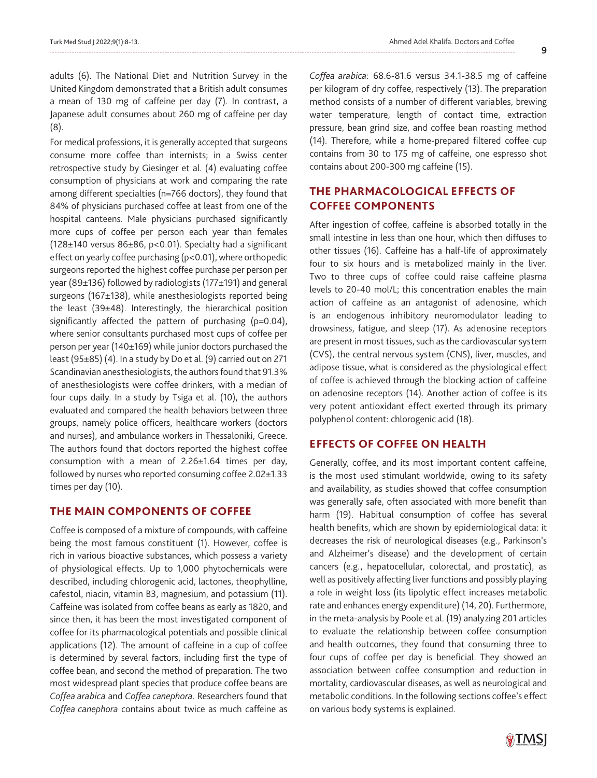adults (6). The National Diet and Nutrition Survey in the United Kingdom demonstrated that a British adult consumes a mean of 130 mg of caffeine per day (7). In contrast, a Japanese adult consumes about 260 mg of caffeine per day (8).

For medical professions, it is generally accepted that surgeons consume more coffee than internists; in a Swiss center retrospective study by Giesinger et al. (4) evaluating coffee consumption of physicians at work and comparing the rate among different specialties (n=766 doctors), they found that 84% of physicians purchased coffee at least from one of the hospital canteens. Male physicians purchased significantly more cups of coffee per person each year than females (128 $\pm$ 140 versus 86 $\pm$ 86, p<0.01). Specialty had a significant effect on yearly coffee purchasing (p<0.01), where orthopedic surgeons reported the highest coffee purchase per person per year (89±136) followed by radiologists (177±191) and general surgeons (167±138), while anesthesiologists reported being the least (39±48). Interestingly, the hierarchical position significantly affected the pattern of purchasing  $(p=0.04)$ , where senior consultants purchased most cups of coffee per person per year (140±169) while junior doctors purchased the least (95±85) (4). In a study by Do et al. (9) carried out on 271 Scandinavian anesthesiologists, the authors found that 91.3% of anesthesiologists were coffee drinkers, with a median of four cups daily. In a study by Tsiga et al. (10), the authors evaluated and compared the health behaviors between three groups, namely police officers, healthcare workers (doctors and nurses), and ambulance workers in Thessaloniki, Greece. The authors found that doctors reported the highest coffee consumption with a mean of  $2.26 \pm 1.64$  times per day, followed by nurses who reported consuming coffee 2.02±1.33 times per day (10).

## **THE MAIN COMPONENTS OF COFFEE**

Coffee is composed of a mixture of compounds, with caffeine being the most famous constituent (1). However, coffee is rich in various bioactive substances, which possess a variety of physiological effects. Up to 1,000 phytochemicals were described, including chlorogenic acid, lactones, theophylline, cafestol, niacin, vitamin B3, magnesium, and potassium (11). Caffeine was isolated from coffee beans as early as 1820, and since then, it has been the most investigated component of coffee for its pharmacological potentials and possible clinical applications (12). The amount of caffeine in a cup of coffee is determined by several factors, including first the type of coffee bean, and second the method of preparation. The two most widespread plant species that produce coffee beans are *Coffea arabica* and *Coffea canephora*. Researchers found that *Coffea canephora* contains about twice as much caffeine as *Coffea arabica*: 68.6-81.6 versus 34.1-38.5 mg of caffeine per kilogram of dry coffee, respectively (13). The preparation method consists of a number of different variables, brewing water temperature, length of contact time, extraction pressure, bean grind size, and coffee bean roasting method (14). Therefore, while a home-prepared filtered coffee cup contains from 30 to 175 mg of caffeine, one espresso shot contains about 200-300 mg caffeine (15).

# **THE PHARMACOLOGICAL EFFECTS OF COFFEE COMPONENTS**

After ingestion of coffee, caffeine is absorbed totally in the small intestine in less than one hour, which then diffuses to other tissues (16). Caffeine has a half-life of approximately four to six hours and is metabolized mainly in the liver. Two to three cups of coffee could raise caffeine plasma levels to 20-40 mol/L; this concentration enables the main action of caffeine as an antagonist of adenosine, which is an endogenous inhibitory neuromodulator leading to drowsiness, fatigue, and sleep (17). As adenosine receptors are present in most tissues, such as the cardiovascular system (CVS), the central nervous system (CNS), liver, muscles, and adipose tissue, what is considered as the physiological effect of coffee is achieved through the blocking action of caffeine on adenosine receptors (14). Another action of coffee is its very potent antioxidant effect exerted through its primary polyphenol content: chlorogenic acid (18).

# **EFFECTS OF COFFEE ON HEALTH**

Generally, coffee, and its most important content caffeine, is the most used stimulant worldwide, owing to its safety and availability, as studies showed that coffee consumption was generally safe, often associated with more benefit than harm (19). Habitual consumption of coffee has several health benefits, which are shown by epidemiological data: it decreases the risk of neurological diseases (e.g., Parkinson's and Alzheimer's disease) and the development of certain cancers (e.g., hepatocellular, colorectal, and prostatic), as well as positively affecting liver functions and possibly playing a role in weight loss (its lipolytic effect increases metabolic rate and enhances energy expenditure) (14, 20). Furthermore, in the meta-analysis by Poole et al. (19) analyzing 201 articles to evaluate the relationship between coffee consumption and health outcomes, they found that consuming three to four cups of coffee per day is beneficial. They showed an association between coffee consumption and reduction in mortality, cardiovascular diseases, as well as neurological and metabolic conditions. In the following sections coffee's effect on various body systems is explained.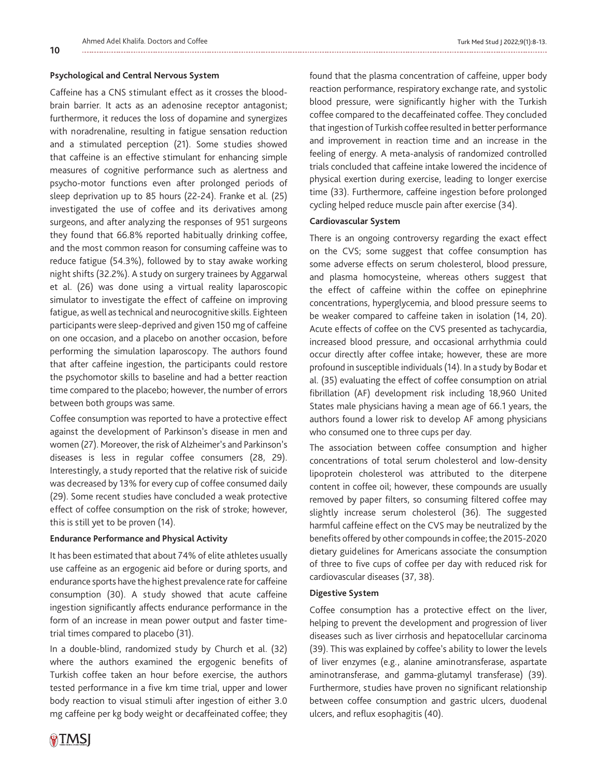#### **Psychological and Central Nervous System**

**10**

Caffeine has a CNS stimulant effect as it crosses the bloodbrain barrier. It acts as an adenosine receptor antagonist; furthermore, it reduces the loss of dopamine and synergizes with noradrenaline, resulting in fatigue sensation reduction and a stimulated perception (21). Some studies showed that caffeine is an effective stimulant for enhancing simple measures of cognitive performance such as alertness and psycho-motor functions even after prolonged periods of sleep deprivation up to 85 hours (22-24). Franke et al. (25) investigated the use of coffee and its derivatives among surgeons, and after analyzing the responses of 951 surgeons they found that 66.8% reported habitually drinking coffee, and the most common reason for consuming caffeine was to reduce fatigue (54.3%), followed by to stay awake working night shifts (32.2%). A study on surgery trainees by Aggarwal et al. (26) was done using a virtual reality laparoscopic simulator to investigate the effect of caffeine on improving fatigue, as well as technical and neurocognitive skills. Eighteen participants were sleep-deprived and given 150 mg of caffeine on one occasion, and a placebo on another occasion, before performing the simulation laparoscopy. The authors found that after caffeine ingestion, the participants could restore the psychomotor skills to baseline and had a better reaction time compared to the placebo; however, the number of errors between both groups was same.

Coffee consumption was reported to have a protective effect against the development of Parkinson's disease in men and women (27). Moreover, the risk of Alzheimer's and Parkinson's diseases is less in regular coffee consumers (28, 29). Interestingly, a study reported that the relative risk of suicide was decreased by 13% for every cup of coffee consumed daily (29). Some recent studies have concluded a weak protective effect of coffee consumption on the risk of stroke; however, this is still yet to be proven (14).

#### **Endurance Performance and Physical Activity**

It has been estimated that about 74% of elite athletes usually use caffeine as an ergogenic aid before or during sports, and endurance sports have the highest prevalence rate for caffeine consumption (30). A study showed that acute caffeine ingestion significantly affects endurance performance in the form of an increase in mean power output and faster timetrial times compared to placebo (31).

In a double-blind, randomized study by Church et al. (32) where the authors examined the ergogenic benefits of Turkish coffee taken an hour before exercise, the authors tested performance in a five km time trial, upper and lower body reaction to visual stimuli after ingestion of either 3.0 mg caffeine per kg body weight or decaffeinated coffee; they

 $\circ$ TMSI

found that the plasma concentration of caffeine, upper body reaction performance, respiratory exchange rate, and systolic blood pressure, were significantly higher with the Turkish coffee compared to the decaffeinated coffee. They concluded that ingestion of Turkish coffee resulted in better performance and improvement in reaction time and an increase in the feeling of energy. A meta-analysis of randomized controlled trials concluded that caffeine intake lowered the incidence of physical exertion during exercise, leading to longer exercise time (33). Furthermore, caffeine ingestion before prolonged cycling helped reduce muscle pain after exercise (34).

#### **Cardiovascular System**

There is an ongoing controversy regarding the exact effect on the CVS; some suggest that coffee consumption has some adverse effects on serum cholesterol, blood pressure, and plasma homocysteine, whereas others suggest that the effect of caffeine within the coffee on epinephrine concentrations, hyperglycemia, and blood pressure seems to be weaker compared to caffeine taken in isolation (14, 20). Acute effects of coffee on the CVS presented as tachycardia, increased blood pressure, and occasional arrhythmia could occur directly after coffee intake; however, these are more profound in susceptible individuals (14). In a study by Bodar et al. (35) evaluating the effect of coffee consumption on atrial fibrillation (AF) development risk including 18,960 United States male physicians having a mean age of 66.1 years, the authors found a lower risk to develop AF among physicians who consumed one to three cups per day.

The association between coffee consumption and higher concentrations of total serum cholesterol and low-density lipoprotein cholesterol was attributed to the diterpene content in coffee oil; however, these compounds are usually removed by paper filters, so consuming filtered coffee may slightly increase serum cholesterol (36). The suggested harmful caffeine effect on the CVS may be neutralized by the benefits offered by other compounds in coffee; the 2015-2020 dietary guidelines for Americans associate the consumption of three to five cups of coffee per day with reduced risk for cardiovascular diseases (37, 38).

#### **Digestive System**

Coffee consumption has a protective effect on the liver, helping to prevent the development and progression of liver diseases such as liver cirrhosis and hepatocellular carcinoma (39). This was explained by coffee's ability to lower the levels of liver enzymes (e.g., alanine aminotransferase, aspartate aminotransferase, and gamma-glutamyl transferase) (39). Furthermore, studies have proven no significant relationship between coffee consumption and gastric ulcers, duodenal ulcers, and reflux esophagitis (40).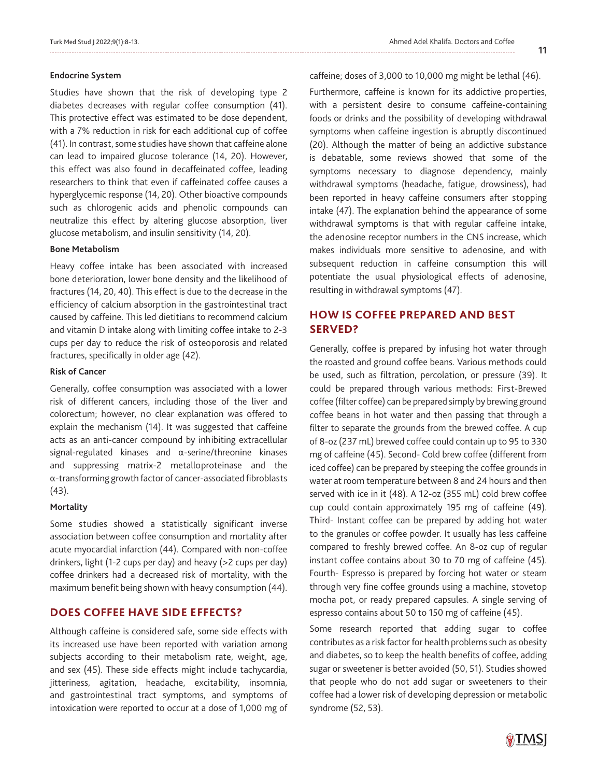**11**

#### **Endocrine System**

Studies have shown that the risk of developing type 2 diabetes decreases with regular coffee consumption (41). This protective effect was estimated to be dose dependent, with a 7% reduction in risk for each additional cup of coffee (41). In contrast, some studies have shown that caffeine alone can lead to impaired glucose tolerance (14, 20). However, this effect was also found in decaffeinated coffee, leading researchers to think that even if caffeinated coffee causes a hyperglycemic response (14, 20). Other bioactive compounds such as chlorogenic acids and phenolic compounds can neutralize this effect by altering glucose absorption, liver glucose metabolism, and insulin sensitivity (14, 20).

#### **Bone Metabolism**

Heavy coffee intake has been associated with increased bone deterioration, lower bone density and the likelihood of fractures (14, 20, 40). This effect is due to the decrease in the efficiency of calcium absorption in the gastrointestinal tract caused by caffeine. This led dietitians to recommend calcium and vitamin D intake along with limiting coffee intake to 2-3 cups per day to reduce the risk of osteoporosis and related fractures, specifically in older age (42).

### **Risk of Cancer**

Generally, coffee consumption was associated with a lower risk of different cancers, including those of the liver and colorectum; however, no clear explanation was offered to explain the mechanism (14). It was suggested that caffeine acts as an anti-cancer compound by inhibiting extracellular signal-regulated kinases and α-serine/threonine kinases and suppressing matrix-2 metalloproteinase and the α-transforming growth factor of cancer-associated fibroblasts (43).

## **Mortality**

Some studies showed a statistically significant inverse association between coffee consumption and mortality after acute myocardial infarction (44). Compared with non-coffee drinkers, light (1-2 cups per day) and heavy (>2 cups per day) coffee drinkers had a decreased risk of mortality, with the maximum benefit being shown with heavy consumption (44).

# **DOES COFFEE HAVE SIDE EFFECTS?**

Although caffeine is considered safe, some side effects with its increased use have been reported with variation among subjects according to their metabolism rate, weight, age, and sex (45). These side effects might include tachycardia, jitteriness, agitation, headache, excitability, insomnia, and gastrointestinal tract symptoms, and symptoms of intoxication were reported to occur at a dose of 1,000 mg of

caffeine; doses of 3,000 to 10,000 mg might be lethal (46).

Furthermore, caffeine is known for its addictive properties, with a persistent desire to consume caffeine-containing foods or drinks and the possibility of developing withdrawal symptoms when caffeine ingestion is abruptly discontinued (20). Although the matter of being an addictive substance is debatable, some reviews showed that some of the symptoms necessary to diagnose dependency, mainly withdrawal symptoms (headache, fatigue, drowsiness), had been reported in heavy caffeine consumers after stopping intake (47). The explanation behind the appearance of some withdrawal symptoms is that with regular caffeine intake, the adenosine receptor numbers in the CNS increase, which makes individuals more sensitive to adenosine, and with subsequent reduction in caffeine consumption this will potentiate the usual physiological effects of adenosine, resulting in withdrawal symptoms (47).

# **HOW IS COFFEE PREPARED AND BEST SERVED?**

Generally, coffee is prepared by infusing hot water through the roasted and ground coffee beans. Various methods could be used, such as filtration, percolation, or pressure (39). It could be prepared through various methods: First-Brewed coffee (filter coffee) can be prepared simply by brewing ground coffee beans in hot water and then passing that through a filter to separate the grounds from the brewed coffee. A cup of 8-oz (237 mL) brewed coffee could contain up to 95 to 330 mg of caffeine (45). Second- Cold brew coffee (different from iced coffee) can be prepared by steeping the coffee grounds in water at room temperature between 8 and 24 hours and then served with ice in it (48). A 12-oz (355 mL) cold brew coffee cup could contain approximately 195 mg of caffeine (49). Third- Instant coffee can be prepared by adding hot water to the granules or coffee powder. It usually has less caffeine compared to freshly brewed coffee. An 8-oz cup of regular instant coffee contains about 30 to 70 mg of caffeine (45). Fourth- Espresso is prepared by forcing hot water or steam through very fine coffee grounds using a machine, stovetop mocha pot, or ready prepared capsules. A single serving of espresso contains about 50 to 150 mg of caffeine (45).

Some research reported that adding sugar to coffee contributes as a risk factor for health problems such as obesity and diabetes, so to keep the health benefits of coffee, adding sugar or sweetener is better avoided (50, 51). Studies showed that people who do not add sugar or sweeteners to their coffee had a lower risk of developing depression or metabolic syndrome (52, 53).

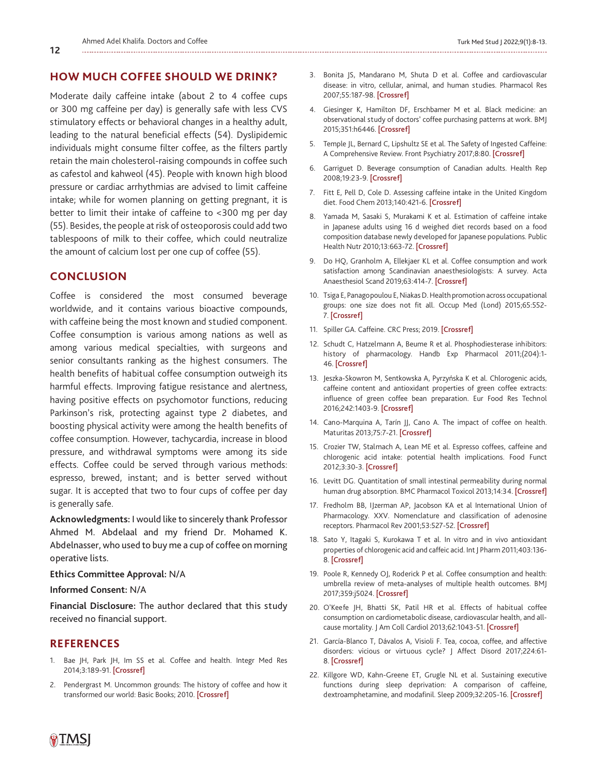## **HOW MUCH COFFEE SHOULD WE DRINK?**

Moderate daily caffeine intake (about 2 to 4 coffee cups or 300 mg caffeine per day) is generally safe with less CVS stimulatory effects or behavioral changes in a healthy adult, leading to the natural beneficial effects (54). Dyslipidemic individuals might consume filter coffee, as the filters partly retain the main cholesterol-raising compounds in coffee such as cafestol and kahweol (45). People with known high blood pressure or cardiac arrhythmias are advised to limit caffeine intake; while for women planning on getting pregnant, it is better to limit their intake of caffeine to <300 mg per day (55). Besides, the people at risk of osteoporosis could add two tablespoons of milk to their coffee, which could neutralize the amount of calcium lost per one cup of coffee (55).

# **CONCLUSION**

Coffee is considered the most consumed beverage worldwide, and it contains various bioactive compounds, with caffeine being the most known and studied component. Coffee consumption is various among nations as well as among various medical specialties, with surgeons and senior consultants ranking as the highest consumers. The health benefits of habitual coffee consumption outweigh its harmful effects. Improving fatigue resistance and alertness, having positive effects on psychomotor functions, reducing Parkinson's risk, protecting against type 2 diabetes, and boosting physical activity were among the health benefits of coffee consumption. However, tachycardia, increase in blood pressure, and withdrawal symptoms were among its side effects. Coffee could be served through various methods: espresso, brewed, instant; and is better served without sugar. It is accepted that two to four cups of coffee per day is generally safe.

**Acknowledgments:** I would like to sincerely thank Professor Ahmed M. Abdelaal and my friend Dr. Mohamed K. Abdelnasser, who used to buy me a cup of coffee on morning operative lists.

## **Ethics Committee Approval:** N/A

#### **Informed Consent:** N/A

**Financial Disclosure:** The author declared that this study received no financial support.

## **REFERENCES**

- 1. Bae JH, Park JH, Im SS et al. Coffee and health. Integr Med Res 2014;3:189-91. [[Crossref\]](https://doi.org/10.1016/j.imr.2014.08.002)
- 2. Pendergrast M. Uncommon grounds: The history of coffee and how it transformed our world: Basic Books; 2010. [Crossref]
- 3. Bonita JS, Mandarano M, Shuta D et al. Coffee and cardiovascular disease: in vitro, cellular, animal, and human studies. Pharmacol Res 2007;55:187-98. [\[Crossref\]](https://doi.org/10.1016/j.phrs.2007.01.006)
- 4. Giesinger K, Hamilton DF, Erschbamer M et al. Black medicine: an observational study of doctors' coffee purchasing patterns at work. BMJ 2015;351:h6446. [Crossref]
- 5. Temple JL, Bernard C, Lipshultz SE et al. The Safety of Ingested Caffeine: A Comprehensive Review. Front Psychiatry 2017;8:80. [\[Crossref\]](https://doi.org/10.3389/fpsyt.2017.00080)
- 6. Garriguet D. Beverage consumption of Canadian adults. Health Rep 2008;19:23-9. [Crossref]
- 7. Fitt E, Pell D, Cole D. Assessing caffeine intake in the United Kingdom diet. Food Chem 2013;140:421-6. [\[Crossref\]](https://www150.statcan.gc.ca/n1/pub/82-003-x/2008004/article/6500821-eng.pdf)
- 8. Yamada M, Sasaki S, Murakami K et al. Estimation of caffeine intake in Japanese adults using 16 d weighed diet records based on a food composition database newly developed for Japanese populations. Public Health Nutr 2010;13:663-72. [\[Crossref\]](https://doi.org/10.1016/j.foodchem.2012.07.092)
- 9. Do HQ, Granholm A, Ellekjaer KL et al. Coffee consumption and work satisfaction among Scandinavian anaesthesiologists: A survey. Acta Anaesthesiol Scand 2019;63:414-7. [\[Crossref\]](https://doi.org/10.1017/S1368980009992023)
- 10. Tsiga E, Panagopoulou E, Niakas D. Health promotion across occupational groups: one size does not fit all. Occup Med (Lond) 2015;65:552- 7. [[Crossref\]](https://doi.org/10.1093/occmed/kqv097)
- 11. Spiller GA. Caffeine. CRC Press; 2019. [Crossref]
- 12. Schudt C, Hatzelmann A, Beume R et al. Phosphodiesterase inhibitors: history of pharmacology. Handb Exp Pharmacol 2011;(204):1- 46. [[Crossref\]](https://doi.org/10.1007/978-3-642-17969-3_1)
- 13. Jeszka-Skowron M, Sentkowska A, Pyrzyńska K et al. Chlorogenic acids, caffeine content and antioxidant properties of green coffee extracts: influence of green coffee bean preparation. Eur Food Res Technol 2016;242:1403-9. [\[Crossref\]](https://doi.org/10.1007/s00217-016-2643-y)
- 14. Cano-Marquina A, Tarín JJ, Cano A. The impact of coffee on health. Maturitas 2013;75:7-21. [[Crossref\]](https://doi.org/10.1016/j.maturitas.2013.02.002)
- 15. Crozier TW, Stalmach A, Lean ME et al. Espresso coffees, caffeine and chlorogenic acid intake: potential health implications. Food Funct 2012;3:30-3. [[Crossref\]](https://doi.org/10.1039/c1fo10240k)
- 16. Levitt DG. Quantitation of small intestinal permeability during normal human drug absorption. BMC Pharmacol Toxicol 2013;14:34. [\[Crossref\]](https://doi.org/10.1186/2050-6511-14-34)
- 17. Fredholm BB, IJzerman AP, Jacobson KA et al International Union of Pharmacology. XXV. Nomenclature and classification of adenosine receptors. Pharmacol Rev 2001;53:527-52. [\[Crossref\]](https://pubmed.ncbi.nlm.nih.gov/11734617/)
- 18. Sato Y, Itagaki S, Kurokawa T et al. In vitro and in vivo antioxidant properties of chlorogenic acid and caffeic acid. Int J Pharm 2011;403:136- 8. [[Crossref\]](https://doi.org/10.1016/j.ijpharm.2010.09.035)
- 19. Poole R, Kennedy OJ, Roderick P et al. Coffee consumption and health: umbrella review of meta-analyses of multiple health outcomes. BMJ 2017;359:j5024. [[Crossref\]](https://doi.org/10.1136/bmj.j5024)
- 20. O'Keefe JH, Bhatti SK, Patil HR et al. Effects of habitual coffee consumption on cardiometabolic disease, cardiovascular health, and allcause mortality. J Am Coll Cardiol 2013;62:1043-51. [\[Crossref\]](https://doi.org/10.1016/j.jacc.2013.06.035)
- 21. García-Blanco T, Dávalos A, Visioli F. Tea, cocoa, coffee, and affective disorders: vicious or virtuous cycle? J Affect Disord 2017;224:61- 8. [[Crossref\]](https://doi.org/10.1016/j.jad.2016.11.033)
- 22. Killgore WD, Kahn-Greene ET, Grugle NL et al. Sustaining executive functions during sleep deprivation: A comparison of caffeine, dextroamphetamine, and modafinil. Sleep 2009;32:205-16. [[Crossref\]](https://doi.org/10.1093/sleep/32.2.205)

**12**